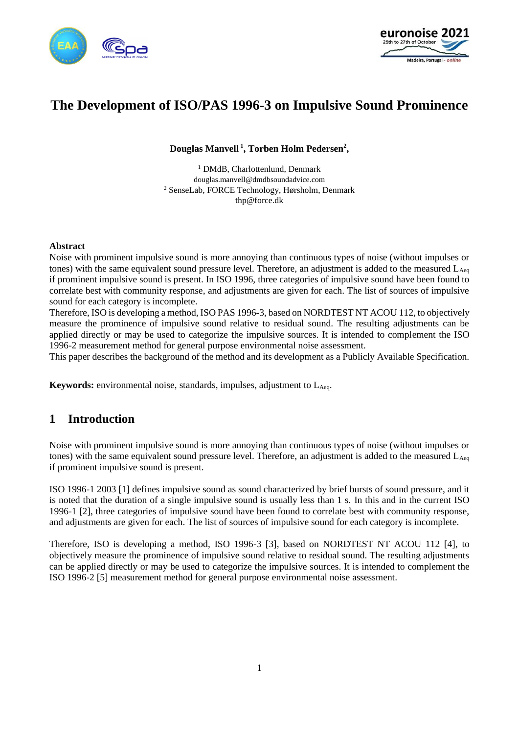



# **The Development of ISO/PAS 1996-3 on Impulsive Sound Prominence**

**Douglas Manvell <sup>1</sup> , Torben Holm Pedersen<sup>2</sup> ,** 

<sup>1</sup> DMdB, Charlottenlund, Denmark douglas.manvell@dmdbsoundadvice.com <sup>2</sup> SenseLab, FORCE Technology, Hørsholm, Denmark thp@force.dk

#### **Abstract**

Noise with prominent impulsive sound is more annoying than continuous types of noise (without impulses or tones) with the same equivalent sound pressure level. Therefore, an adjustment is added to the measured  $L_{Aeq}$ if prominent impulsive sound is present. In ISO 1996, three categories of impulsive sound have been found to correlate best with community response, and adjustments are given for each. The list of sources of impulsive sound for each category is incomplete.

Therefore, ISO is developing a method, ISO PAS 1996-3, based on NORDTEST NT ACOU 112, to objectively measure the prominence of impulsive sound relative to residual sound. The resulting adjustments can be applied directly or may be used to categorize the impulsive sources. It is intended to complement the ISO 1996-2 measurement method for general purpose environmental noise assessment.

This paper describes the background of the method and its development as a Publicly Available Specification.

**Keywords:** environmental noise, standards, impulses, adjustment to L<sub>Aeq</sub>.

## **1 Introduction**

Noise with prominent impulsive sound is more annoying than continuous types of noise (without impulses or tones) with the same equivalent sound pressure level. Therefore, an adjustment is added to the measured  $L_{Aeq}$ if prominent impulsive sound is present.

ISO 1996-1 2003 [\[1\]](#page-9-0) defines impulsive sound as sound characterized by brief bursts of sound pressure, and it is noted that the duration of a single impulsive sound is usually less than 1 s. In this and in the current ISO 1996-1 [\[2\],](#page-9-1) three categories of impulsive sound have been found to correlate best with community response, and adjustments are given for each. The list of sources of impulsive sound for each category is incomplete.

Therefore, ISO is developing a method, ISO 1996-3 [\[3\],](#page-9-2) based on NORDTEST NT ACOU 112 [\[4\],](#page-9-3) to objectively measure the prominence of impulsive sound relative to residual sound. The resulting adjustments can be applied directly or may be used to categorize the impulsive sources. It is intended to complement the ISO 1996-2 [\[5\]](#page-9-4) measurement method for general purpose environmental noise assessment.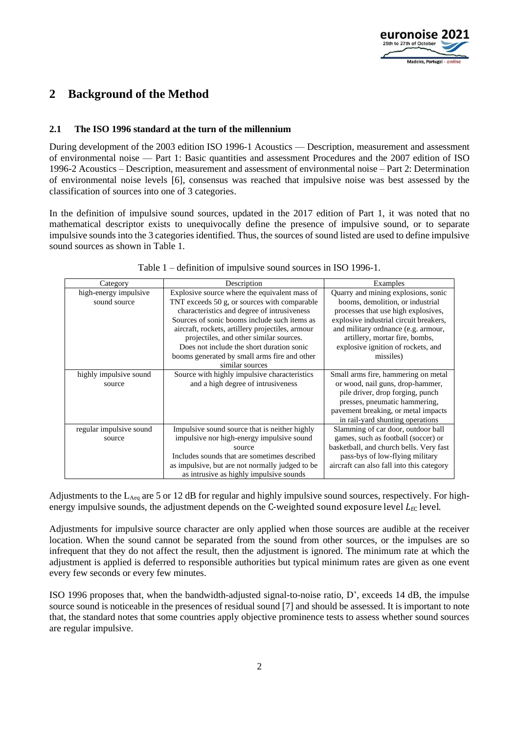

## **2 Background of the Method**

#### **2.1 The ISO 1996 standard at the turn of the millennium**

During development of the 2003 edition ISO 1996-1 Acoustics — Description, measurement and assessment of environmental noise — Part 1: Basic quantities and assessment Procedures and the 2007 edition of ISO 1996-2 Acoustics – Description, measurement and assessment of environmental noise – Part 2: Determination of environmental noise levels [\[6\],](#page-9-5) consensus was reached that impulsive noise was best assessed by the classification of sources into one of 3 categories.

In the definition of impulsive sound sources, updated in the 2017 edition of Part 1, it was noted that no mathematical descriptor exists to unequivocally define the presence of impulsive sound, or to separate impulsive sounds into the 3 categories identified. Thus, the sources of sound listed are used to define impulsive sound sources as shown in Table 1.

| Category                | Description                                      | Examples                                  |
|-------------------------|--------------------------------------------------|-------------------------------------------|
| high-energy impulsive   | Explosive source where the equivalent mass of    | Quarry and mining explosions, sonic       |
| sound source            | TNT exceeds 50 g, or sources with comparable     | booms, demolition, or industrial          |
|                         | characteristics and degree of intrusiveness      | processes that use high explosives,       |
|                         | Sources of sonic booms include such items as     | explosive industrial circuit breakers,    |
|                         | aircraft, rockets, artillery projectiles, armour | and military ordnance (e.g. armour,       |
|                         | projectiles, and other similar sources.          | artillery, mortar fire, bombs,            |
|                         | Does not include the short duration sonic        | explosive ignition of rockets, and        |
|                         | booms generated by small arms fire and other     | missiles)                                 |
|                         | similar sources                                  |                                           |
| highly impulsive sound  | Source with highly impulsive characteristics     | Small arms fire, hammering on metal       |
| source                  | and a high degree of intrusiveness               | or wood, nail guns, drop-hammer,          |
|                         |                                                  | pile driver, drop forging, punch          |
|                         |                                                  | presses, pneumatic hammering,             |
|                         |                                                  | payement breaking, or metal impacts       |
|                         |                                                  | in rail-yard shunting operations          |
| regular impulsive sound | Impulsive sound source that is neither highly    | Slamming of car door, outdoor ball        |
| source                  | impulsive nor high-energy impulsive sound        | games, such as football (soccer) or       |
|                         | source                                           | basketball, and church bells. Very fast   |
|                         | Includes sounds that are sometimes described     | pass-bys of low-flying military           |
|                         | as impulsive, but are not normally judged to be  | aircraft can also fall into this category |
|                         | as intrusive as highly impulsive sounds          |                                           |

Table 1 – definition of impulsive sound sources in ISO 1996-1.

Adjustments to the L<sub>Aeq</sub> are 5 or 12 dB for regular and highly impulsive sound sources, respectively. For highenergy impulsive sounds, the adjustment depends on the C-weighted sound exposure level *L<sub>EC</sub>* level.

Adjustments for impulsive source character are only applied when those sources are audible at the receiver location. When the sound cannot be separated from the sound from other sources, or the impulses are so infrequent that they do not affect the result, then the adjustment is ignored. The minimum rate at which the adjustment is applied is deferred to responsible authorities but typical minimum rates are given as one event every few seconds or every few minutes.

ISO 1996 proposes that, when the bandwidth-adjusted signal-to-noise ratio, D', exceeds 14 dB, the impulse source sound is noticeable in the presences of residual sound [7] and should be assessed. It is important to note that, the standard notes that some countries apply objective prominence tests to assess whether sound sources are regular impulsive.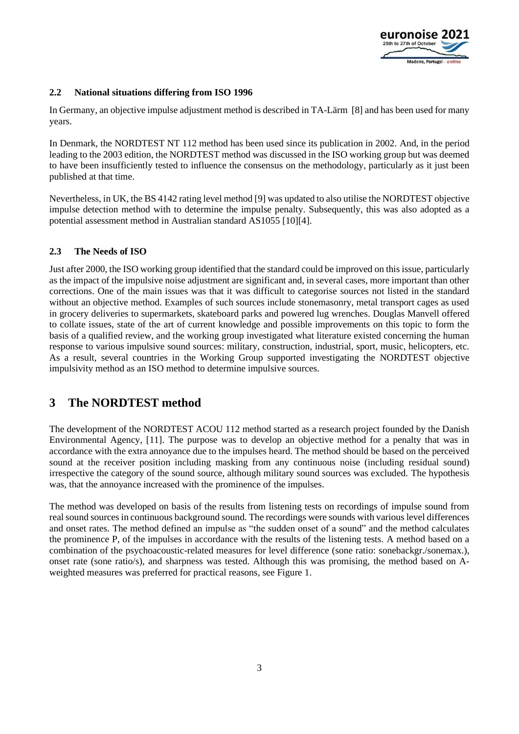

#### **2.2 National situations differing from ISO 1996**

In Germany, an objective impulse adjustment method is described in TA-Lärm [\[8\]](#page-9-6) and has been used for many years.

In Denmark, the NORDTEST NT 112 method has been used since its publication in 2002. And, in the period leading to the 2003 edition, the NORDTEST method was discussed in the ISO working group but was deemed to have been insufficiently tested to influence the consensus on the methodology, particularly as it just been published at that time.

Nevertheless, in UK, the BS 4142 rating level method [\[9\]](#page-9-7) was updated to also utilise the NORDTEST objective impulse detection method with to determine the impulse penalty. Subsequently, this was also adopted as a potential assessment method in Australian standard AS1055 [\[10\]](#page-9-8)[\[4\].](#page-9-3)

#### **2.3 The Needs of ISO**

Just after 2000, the ISO working group identified that the standard could be improved on this issue, particularly as the impact of the impulsive noise adjustment are significant and, in several cases, more important than other corrections. One of the main issues was that it was difficult to categorise sources not listed in the standard without an objective method. Examples of such sources include stonemasonry, metal transport cages as used in grocery deliveries to supermarkets, skateboard parks and powered lug wrenches. Douglas Manvell offered to collate issues, state of the art of current knowledge and possible improvements on this topic to form the basis of a qualified review, and the working group investigated what literature existed concerning the human response to various impulsive sound sources: military, construction, industrial, sport, music, helicopters, etc. As a result, several countries in the Working Group supported investigating the NORDTEST objective impulsivity method as an ISO method to determine impulsive sources.

## **3 The NORDTEST method**

The development of the NORDTEST ACOU 112 method started as a research project founded by the Danish Environmental Agency, [\[11\].](#page-9-9) The purpose was to develop an objective method for a penalty that was in accordance with the extra annoyance due to the impulses heard. The method should be based on the perceived sound at the receiver position including masking from any continuous noise (including residual sound) irrespective the category of the sound source, although military sound sources was excluded. The hypothesis was, that the annoyance increased with the prominence of the impulses.

The method was developed on basis of the results from listening tests on recordings of impulse sound from real sound sources in continuous background sound. The recordings were sounds with various level differences and onset rates. The method defined an impulse as "the sudden onset of a sound" and the method calculates the prominence P, of the impulses in accordance with the results of the listening tests. A method based on a combination of the psychoacoustic-related measures for level difference (sone ratio: sonebackgr./sonemax.), onset rate (sone ratio/s), and sharpness was tested. Although this was promising, the method based on Aweighted measures was preferred for practical reasons, see [Figure 1.](#page-3-0)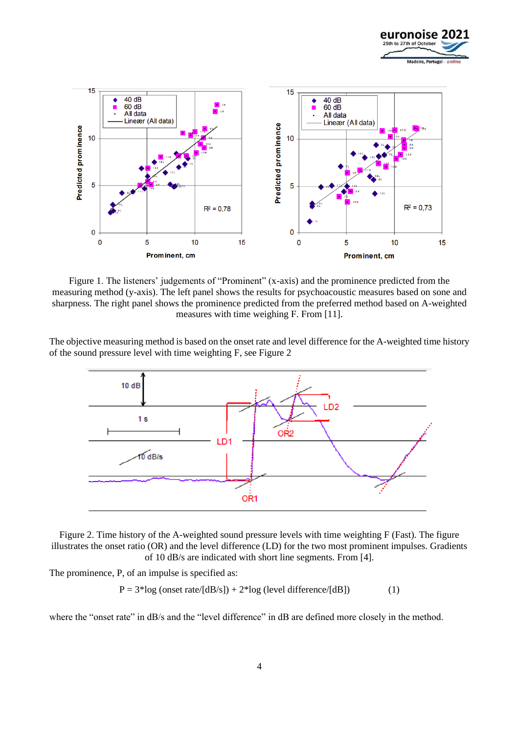



<span id="page-3-0"></span>Figure 1. The listeners' judgements of "Prominent" (x-axis) and the prominence predicted from the measuring method (y-axis). The left panel shows the results for psychoacoustic measures based on sone and sharpness. The right panel shows the prominence predicted from the preferred method based on A-weighted measures with time weighing F. From [\[11\].](#page-9-9)

The objective measuring method is based on the onset rate and level difference for the A-weighted time history of the sound pressure level with time weighting F, see [Figure 2](#page-3-1)



<span id="page-3-1"></span>Figure 2. Time history of the A-weighted sound pressure levels with time weighting F (Fast). The figure illustrates the onset ratio (OR) and the level difference (LD) for the two most prominent impulses. Gradients of 10 dB/s are indicated with short line segments. From [\[4\].](#page-9-3)

The prominence, P, of an impulse is specified as:

 $P = 3 * log (onset rate/[dB/s]) + 2 * log (level difference/[dB])$  (1)

where the "onset rate" in dB/s and the "level difference" in dB are defined more closely in the method.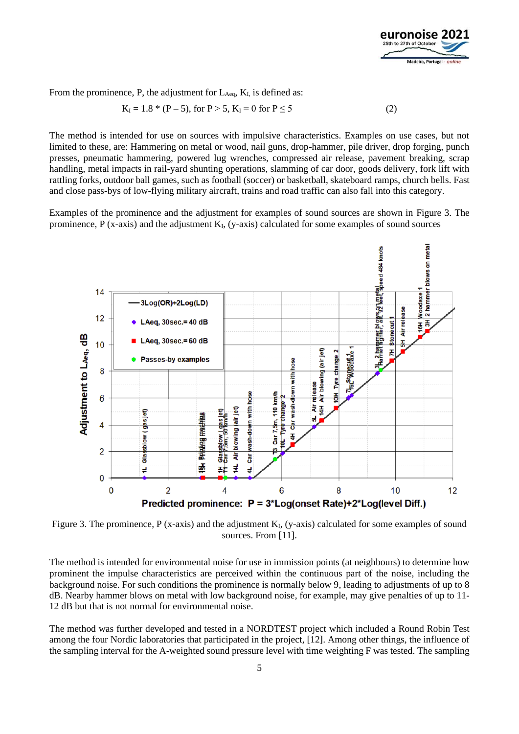

From the prominence, P, the adjustment for  $L_{Aeq}$ ,  $K_I$  is defined as:

$$
K_{I} = 1.8 * (P - 5), \text{ for } P > 5, K_{I} = 0 \text{ for } P \le 5
$$
 (2)

The method is intended for use on sources with impulsive characteristics. Examples on use cases, but not limited to these, are: Hammering on metal or wood, nail guns, drop-hammer, pile driver, drop forging, punch presses, pneumatic hammering, powered lug wrenches, compressed air release, pavement breaking, scrap handling, metal impacts in rail-yard shunting operations, slamming of car door, goods delivery, fork lift with rattling forks, outdoor ball games, such as football (soccer) or basketball, skateboard ramps, church bells. Fast and close pass-bys of low-flying military aircraft, trains and road traffic can also fall into this category.

Examples of the prominence and the adjustment for examples of sound sources are shown in [Figure 3. The](#page-4-0)  prominence,  $P$  (x-axis) and the adjustment  $K_I$ [, \(y-axis\) calculated for some examples of sound sources](#page-4-0)



<span id="page-4-0"></span>Figure 3. The prominence, P (x-axis) and the adjustment  $K_I$ , (y-axis) calculated for some examples of sound sources. From [\[11\].](#page-9-9)

The method is intended for environmental noise for use in immission points (at neighbours) to determine how prominent the impulse characteristics are perceived within the continuous part of the noise, including the background noise. For such conditions the prominence is normally below 9, leading to adjustments of up to 8 dB. Nearby hammer blows on metal with low background noise, for example, may give penalties of up to 11- 12 dB but that is not normal for environmental noise.

The method was further developed and tested in a NORDTEST project which included a Round Robin Test among the four Nordic laboratories that participated in the project, [\[12\].](#page-10-0) Among other things, the influence of the sampling interval for the A-weighted sound pressure level with time weighting F was tested. The sampling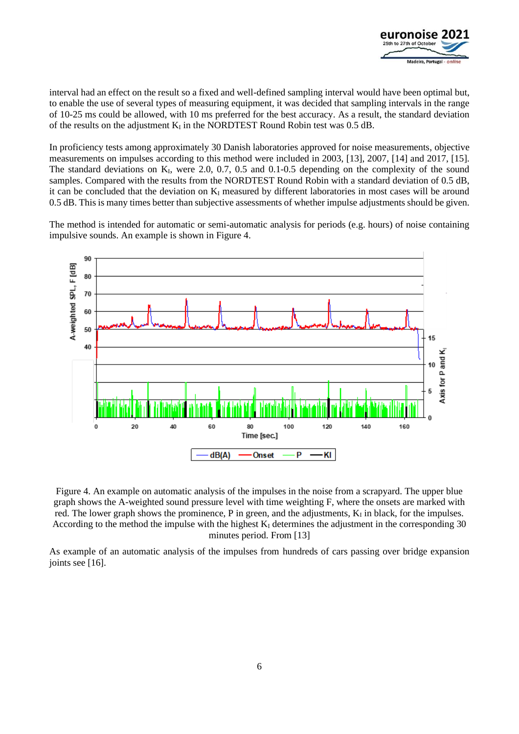

interval had an effect on the result so a fixed and well-defined sampling interval would have been optimal but, to enable the use of several types of measuring equipment, it was decided that sampling intervals in the range of 10-25 ms could be allowed, with 10 ms preferred for the best accuracy. As a result, the standard deviation of the results on the adjustment  $K_I$  in the NORDTEST Round Robin test was 0.5 dB.

In proficiency tests among approximately 30 Danish laboratories approved for noise measurements, objective measurements on impulses according to this method were included in 2003, [\[13\],](#page-10-1) 2007, [\[14\]](#page-10-2) and 2017, [\[15\].](#page-10-3) The standard deviations on K<sub>I</sub>, were 2.0, 0.7, 0.5 and 0.1-0.5 depending on the complexity of the sound samples. Compared with the results from the NORDTEST Round Robin with a standard deviation of 0.5 dB, it can be concluded that the deviation on  $K_I$  measured by different laboratories in most cases will be around 0.5 dB. This is many times better than subjective assessments of whether impulse adjustments should be given.

The method is intended for automatic or semi-automatic analysis for periods (e.g. hours) of noise containing impulsive sounds. An example is shown in [Figure 4.](#page-5-0)



<span id="page-5-0"></span>Figure 4. An example on automatic analysis of the impulses in the noise from a scrapyard. The upper blue graph shows the A-weighted sound pressure level with time weighting F, where the onsets are marked with red. The lower graph shows the prominence, P in green, and the adjustments,  $K<sub>I</sub>$  in black, for the impulses. According to the method the impulse with the highest  $K_I$  determines the adjustment in the corresponding 30 minutes period. From [\[13\]](#page-10-1)

As example of an automatic analysis of the impulses from hundreds of cars passing over bridge expansion joints see [\[16\].](#page-10-4)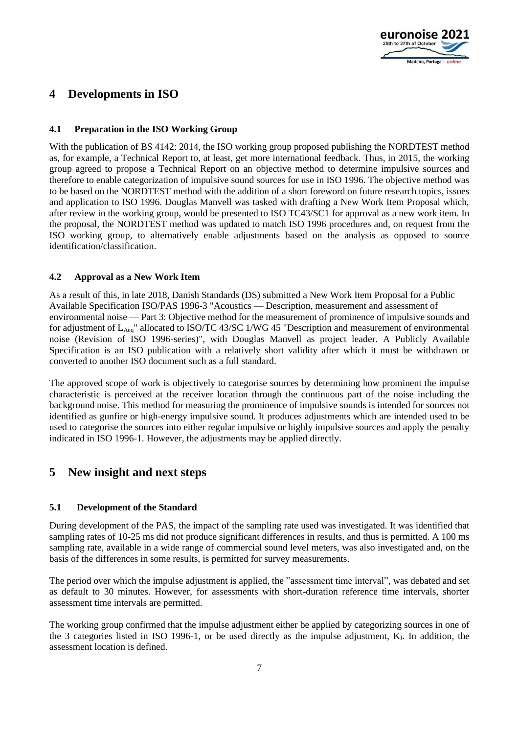

## **4 Developments in ISO**

#### **4.1 Preparation in the ISO Working Group**

With the publication of BS 4142: 2014, the ISO working group proposed publishing the NORDTEST method as, for example, a Technical Report to, at least, get more international feedback. Thus, in 2015, the working group agreed to propose a Technical Report on an objective method to determine impulsive sources and therefore to enable categorization of impulsive sound sources for use in ISO 1996. The objective method was to be based on the NORDTEST method with the addition of a short foreword on future research topics, issues and application to ISO 1996. Douglas Manvell was tasked with drafting a New Work Item Proposal which, after review in the working group, would be presented to ISO TC43/SC1 for approval as a new work item. In the proposal, the NORDTEST method was updated to match ISO 1996 procedures and, on request from the ISO working group, to alternatively enable adjustments based on the analysis as opposed to source identification/classification.

#### **4.2 Approval as a New Work Item**

As a result of this, in late 2018, Danish Standards (DS) submitted a New Work Item Proposal for a Public Available Specification ISO/PAS 1996-3 "Acoustics — Description, measurement and assessment of environmental noise — Part 3: Objective method for the measurement of prominence of impulsive sounds and for adjustment of LAeq" allocated to ISO/TC 43/SC 1/WG 45 "Description and measurement of environmental noise (Revision of ISO 1996-series)", with Douglas Manvell as project leader. A Publicly Available Specification is an ISO publication with a relatively short validity after which it must be withdrawn or converted to another ISO document such as a full standard.

The approved scope of work is objectively to categorise sources by determining how prominent the impulse characteristic is perceived at the receiver location through the continuous part of the noise including the background noise. This method for measuring the prominence of impulsive sounds is intended for sources not identified as gunfire or high-energy impulsive sound. It produces adjustments which are intended used to be used to categorise the sources into either regular impulsive or highly impulsive sources and apply the penalty indicated in ISO 1996-1. However, the adjustments may be applied directly.

## **5 New insight and next steps**

#### **5.1 Development of the Standard**

During development of the PAS, the impact of the sampling rate used was investigated. It was identified that sampling rates of 10-25 ms did not produce significant differences in results, and thus is permitted. A 100 ms sampling rate, available in a wide range of commercial sound level meters, was also investigated and, on the basis of the differences in some results, is permitted for survey measurements.

The period over which the impulse adjustment is applied, the "assessment time interval", was debated and set as default to 30 minutes. However, for assessments with short-duration reference time intervals, shorter assessment time intervals are permitted.

The working group confirmed that the impulse adjustment either be applied by categorizing sources in one of the 3 categories listed in ISO 1996-1, or be used directly as the impulse adjustment,  $K<sub>L</sub>$ . In addition, the assessment location is defined.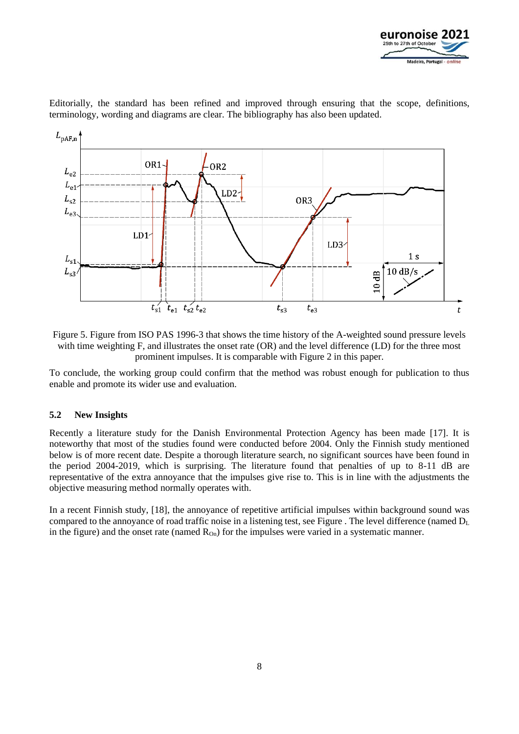

Editorially, the standard has been refined and improved through ensuring that the scope, definitions, terminology, wording and diagrams are clear. The bibliography has also been updated.



Figure 5. Figure from ISO PAS 1996-3 that shows the time history of the A-weighted sound pressure levels with time weighting F, and illustrates the onset rate (OR) and the level difference (LD) for the three most prominent impulses. It is comparable with Figure 2 in this paper.

To conclude, the working group could confirm that the method was robust enough for publication to thus enable and promote its wider use and evaluation.

#### **5.2 New Insights**

Recently a literature study for the Danish Environmental Protection Agency has been made [\[17\].](#page-10-5) It is noteworthy that most of the studies found were conducted before 2004. Only the Finnish study mentioned below is of more recent date. Despite a thorough literature search, no significant sources have been found in the period 2004-2019, which is surprising. The literature found that penalties of up to 8-11 dB are representative of the extra annoyance that the impulses give rise to. This is in line with the adjustments the objective measuring method normally operates with.

In a recent Finnish study, [\[18\],](#page-10-6) the annoyance of repetitive artificial impulses within background sound was compared to the annoyance of road traffic noise in a listening test, see [Figure .](#page-8-0) The level difference (named  $D_L$ in the figure) and the onset rate (named  $R_{On}$ ) for the impulses were varied in a systematic manner.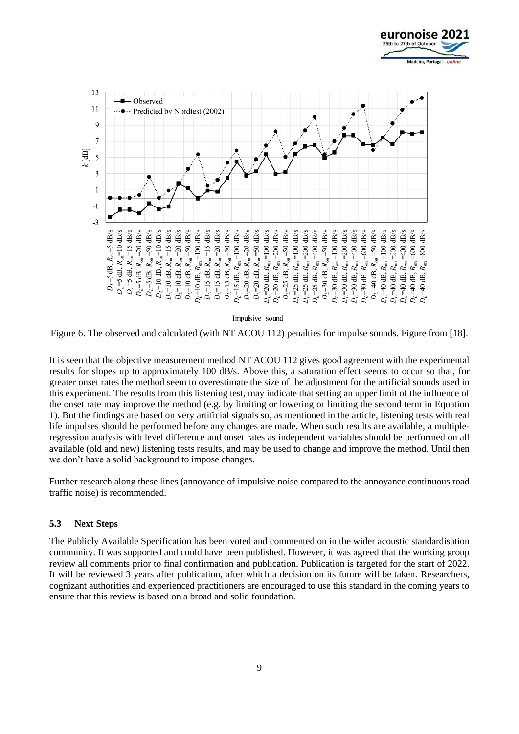



Impulsive sound

<span id="page-8-0"></span>Figure 6. The observed and calculated (with NT ACOU 112) penalties for impulse sounds. Figure from [\[18\].](#page-10-6)

It is seen that the objective measurement method NT ACOU 112 gives good agreement with the experimental results for slopes up to approximately 100 dB/s. Above this, a saturation effect seems to occur so that, for greater onset rates the method seem to overestimate the size of the adjustment for the artificial sounds used in this experiment. The results from this listening test, may indicate that setting an upper limit of the influence of the onset rate may improve the method (e.g. by limiting or lowering or limiting the second term in Equation 1). But the findings are based on very artificial signals so, as mentioned in the article, listening tests with real life impulses should be performed before any changes are made. When such results are available, a multipleregression analysis with level difference and onset rates as independent variables should be performed on all available (old and new) listening tests results, and may be used to change and improve the method. Until then we don't have a solid background to impose changes.

Further research along these lines (annoyance of impulsive noise compared to the annoyance continuous road traffic noise) is recommended.

#### **5.3 Next Steps**

The Publicly Available Specification has been voted and commented on in the wider acoustic standardisation community. It was supported and could have been published. However, it was agreed that the working group review all comments prior to final confirmation and publication. Publication is targeted for the start of 2022. It will be reviewed 3 years after publication, after which a decision on its future will be taken. Researchers, cognizant authorities and experienced practitioners are encouraged to use this standard in the coming years to ensure that this review is based on a broad and solid foundation.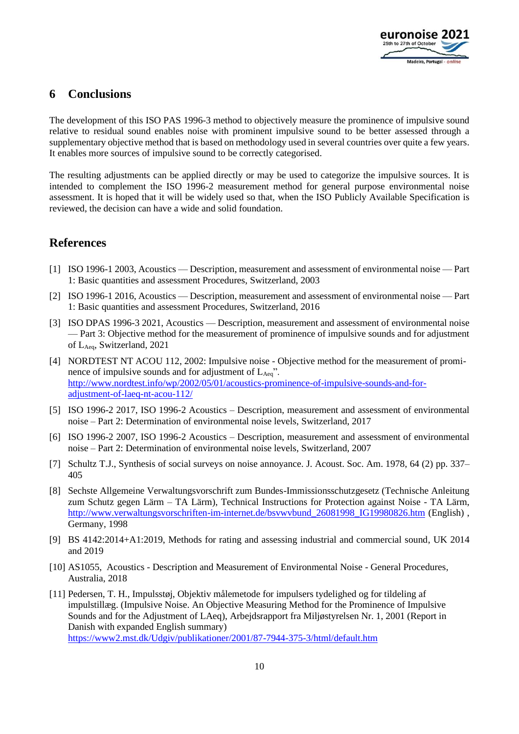

### **6 Conclusions**

The development of this ISO PAS 1996-3 method to objectively measure the prominence of impulsive sound relative to residual sound enables noise with prominent impulsive sound to be better assessed through a supplementary objective method that is based on methodology used in several countries over quite a few years. It enables more sources of impulsive sound to be correctly categorised.

The resulting adjustments can be applied directly or may be used to categorize the impulsive sources. It is intended to complement the ISO 1996-2 measurement method for general purpose environmental noise assessment. It is hoped that it will be widely used so that, when the ISO Publicly Available Specification is reviewed, the decision can have a wide and solid foundation.

## **References**

- <span id="page-9-0"></span>[1] ISO 1996-1 2003, Acoustics — Description, measurement and assessment of environmental noise — Part 1: Basic quantities and assessment Procedures, Switzerland, 2003
- <span id="page-9-1"></span>[2] ISO 1996-1 2016, Acoustics — Description, measurement and assessment of environmental noise — Part 1: Basic quantities and assessment Procedures, Switzerland, 2016
- <span id="page-9-2"></span>[3] ISO DPAS 1996-3 2021, Acoustics — Description, measurement and assessment of environmental noise — Part 3: Objective method for the measurement of prominence of impulsive sounds and for adjustment of LAeq, Switzerland, 2021
- <span id="page-9-3"></span>[4] NORDTEST NT ACOU 112, 2002: Impulsive noise - Objective method for the measurement of prominence of impulsive sounds and for adjustment of  $L_{Aeq}$ ". [http://www.nordtest.info/wp/2002/05/01/acoustics-prominence-of-impulsive-sounds-and-for](http://www.nordtest.info/wp/2002/05/01/acoustics-prominence-of-impulsive-sounds-and-for-adjustment-of-laeq-nt-acou-112/)[adjustment-of-laeq-nt-acou-112/](http://www.nordtest.info/wp/2002/05/01/acoustics-prominence-of-impulsive-sounds-and-for-adjustment-of-laeq-nt-acou-112/)
- <span id="page-9-4"></span>[5] ISO 1996-2 2017, ISO 1996-2 Acoustics – Description, measurement and assessment of environmental noise – Part 2: Determination of environmental noise levels, Switzerland, 2017
- <span id="page-9-5"></span>[6] ISO 1996-2 2007, ISO 1996-2 Acoustics – Description, measurement and assessment of environmental noise – Part 2: Determination of environmental noise levels, Switzerland, 2007
- [7] Schultz T.J., Synthesis of social surveys on noise annoyance. J. Acoust. Soc. Am. 1978, 64 (2) pp. 337– 405
- <span id="page-9-6"></span>[8] Sechste Allgemeine Verwaltungsvorschrift zum Bundes-Immissionsschutzgesetz (Technische Anleitung zum Schutz gegen Lärm – TA Lärm), Technical Instructions for Protection against Noise - TA Lärm, [http://www.verwaltungsvorschriften-im-internet.de/bsvwvbund\\_26081998\\_IG19980826.htm](http://www.verwaltungsvorschriften-im-internet.de/bsvwvbund_26081998_IG19980826.htm) (English), Germany, 1998
- <span id="page-9-7"></span>[9] BS 4142:2014+A1:2019, Methods for rating and assessing industrial and commercial sound, UK 2014 and 2019
- <span id="page-9-8"></span>[10] AS1055, Acoustics - Description and Measurement of Environmental Noise - General Procedures, Australia, 2018
- <span id="page-9-9"></span>[11] Pedersen, T. H., Impulsstøj, Objektiv målemetode for impulsers tydelighed og for tildeling af impulstillæg. (Impulsive Noise. An Objective Measuring Method for the Prominence of Impulsive Sounds and for the Adjustment of LAeq), Arbejdsrapport fra Miljøstyrelsen Nr. 1, 2001 (Report in Danish with expanded English summary) <https://www2.mst.dk/Udgiv/publikationer/2001/87-7944-375-3/html/default.htm>